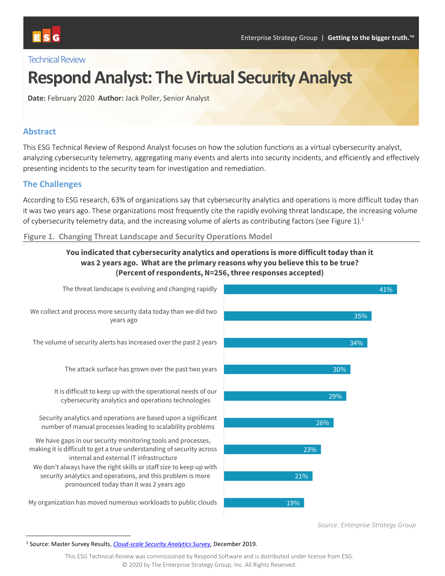

## **Technical Review**

# **Respond Analyst: The Virtual Security Analyst**

**Date:** February 2020 **Author:** Jack Poller, Senior Analyst

## **Abstract**

This ESG Technical Review of Respond Analyst focuses on how the solution functions as a virtual cybersecurity analyst, analyzing cybersecurity telemetry, aggregating many events and alerts into security incidents, and efficiently and effectively presenting incidents to the security team for investigation and remediation.

## **The Challenges**

According to ESG research, 63% of organizations say that cybersecurity analytics and operations is more difficult today than it was two years ago. These organizations most frequently cite the rapidly evolving threat landscape, the increasing volume of cybersecurity telemetry data, and the increasing volume of alerts as contributing factors (see [Figure 1\)](#page-0-0).<sup>1</sup>

### <span id="page-0-0"></span>**Figure 1. Changing Threat Landscape and Security Operations Model**

## **You indicated that cybersecurity analytics and operations is more difficult today than it was 2 years ago. What are the primary reasons why you believe this to be true? (Percent of respondents, N=256, three responses accepted)**



*Source: Enterprise Strategy Group*

<sup>1</sup> Source: Master Survey Results, *[Cloud-scale Security Analytics Survey,](https://research.esg-global.com/reportaction/CloudScaleAnalyticsSurveyMSR2019/Toc)* December 2019.

This ESG Technical Review was commissioned by Respond Software and is distributed under license from ESG. © 2020 by The Enterprise Strategy Group, Inc. All Rights Reserved.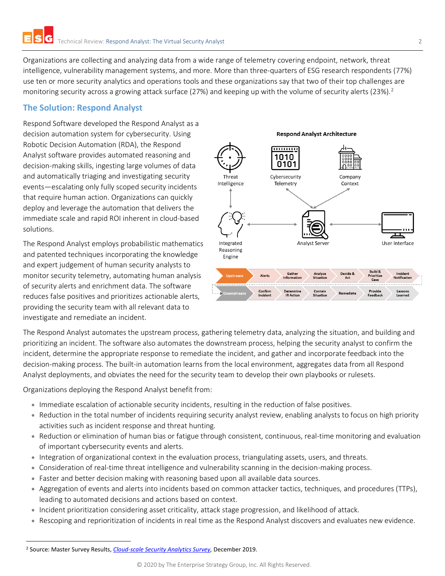Organizations are collecting and analyzing data from a wide range of telemetry covering endpoint, network, threat intelligence, vulnerability management systems, and more. More than three-quarters of ESG research respondents (77%) use ten or more security analytics and operations tools and these organizations say that two of their top challenges are monitoring security across a growing attack surface (27%) and keeping up with the volume of security alerts (23%).<sup>2</sup>

## **The Solution: Respond Analyst**

Respond Software developed the Respond Analyst as a decision automation system for cybersecurity. Using Robotic Decision Automation (RDA), the Respond Analyst software provides automated reasoning and decision-making skills, ingesting large volumes of data and automatically triaging and investigating security events—escalating only fully scoped security incidents that require human action. Organizations can quickly deploy and leverage the automation that delivers the immediate scale and rapid ROI inherent in cloud-based solutions.

The Respond Analyst employs probabilistic mathematics and patented techniques incorporating the knowledge and expert judgement of human security analysts to monitor security telemetry, automating human analysis of security alerts and enrichment data. The software reduces false positives and prioritizes actionable alerts, providing the security team with all relevant data to investigate and remediate an incident.



The Respond Analyst automates the upstream process, gathering telemetry data, analyzing the situation, and building and prioritizing an incident. The software also automates the downstream process, helping the security analyst to confirm the incident, determine the appropriate response to remediate the incident, and gather and incorporate feedback into the decision-making process. The built-in automation learns from the local environment, aggregates data from all Respond Analyst deployments, and obviates the need for the security team to develop their own playbooks or rulesets.

Organizations deploying the Respond Analyst benefit from:

- Immediate escalation of actionable security incidents, resulting in the reduction of false positives.
- Reduction in the total number of incidents requiring security analyst review, enabling analysts to focus on high priority activities such as incident response and threat hunting.
- Reduction or elimination of human bias or fatigue through consistent, continuous, real-time monitoring and evaluation of important cybersecurity events and alerts.
- Integration of organizational context in the evaluation process, triangulating assets, users, and threats.
- Consideration of real-time threat intelligence and vulnerability scanning in the decision-making process.
- Faster and better decision making with reasoning based upon all available data sources.
- Aggregation of events and alerts into incidents based on common attacker tactics, techniques, and procedures (TTPs), leading to automated decisions and actions based on context.
- Incident prioritization considering asset criticality, attack stage progression, and likelihood of attack.
- Rescoping and reprioritization of incidents in real time as the Respond Analyst discovers and evaluates new evidence.

<sup>2</sup> Source: Master Survey Results, *[Cloud-scale Security Analytics Survey,](https://research.esg-global.com/reportaction/CloudScaleAnalyticsSurveyMSR2019/Toc)* December 2019.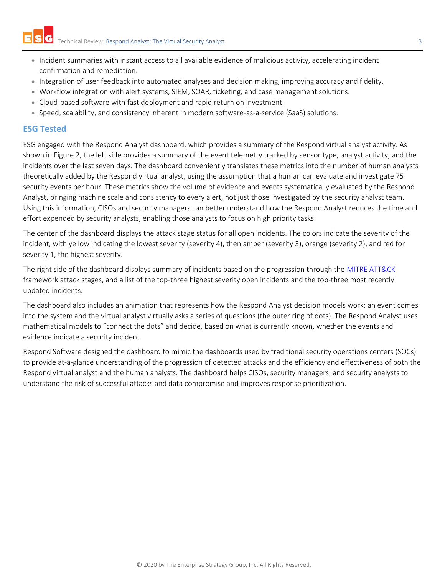- Incident summaries with instant access to all available evidence of malicious activity, accelerating incident confirmation and remediation.
- Integration of user feedback into automated analyses and decision making, improving accuracy and fidelity.
- Workflow integration with alert systems, SIEM, SOAR, ticketing, and case management solutions.
- Cloud-based software with fast deployment and rapid return on investment.
- Speed, scalability, and consistency inherent in modern software-as-a-service (SaaS) solutions.

#### **ESG Tested**

ESG engaged with the Respond Analyst dashboard, which provides a summary of the Respond virtual analyst activity. As shown in [Figure 2,](#page-3-0) the left side provides a summary of the event telemetry tracked by sensor type, analyst activity, and the incidents over the last seven days. The dashboard conveniently translates these metrics into the number of human analysts theoretically added by the Respond virtual analyst, using the assumption that a human can evaluate and investigate 75 security events per hour. These metrics show the volume of evidence and events systematically evaluated by the Respond Analyst, bringing machine scale and consistency to every alert, not just those investigated by the security analyst team. Using this information, CISOs and security managers can better understand how the Respond Analyst reduces the time and effort expended by security analysts, enabling those analysts to focus on high priority tasks.

The center of the dashboard displays the attack stage status for all open incidents. The colors indicate the severity of the incident, with yellow indicating the lowest severity (severity 4), then amber (severity 3), orange (severity 2), and red for severity 1, the highest severity.

The right side of the dashboard displays summary of incidents based on the progression through the [MITRE ATT&CK](https://attack.mitre.org/) framework attack stages, and a list of the top-three highest severity open incidents and the top-three most recently updated incidents.

The dashboard also includes an animation that represents how the Respond Analyst decision models work: an event comes into the system and the virtual analyst virtually asks a series of questions (the outer ring of dots). The Respond Analyst uses mathematical models to "connect the dots" and decide, based on what is currently known, whether the events and evidence indicate a security incident.

Respond Software designed the dashboard to mimic the dashboards used by traditional security operations centers (SOCs) to provide at-a-glance understanding of the progression of detected attacks and the efficiency and effectiveness of both the Respond virtual analyst and the human analysts. The dashboard helps CISOs, security managers, and security analysts to understand the risk of successful attacks and data compromise and improves response prioritization.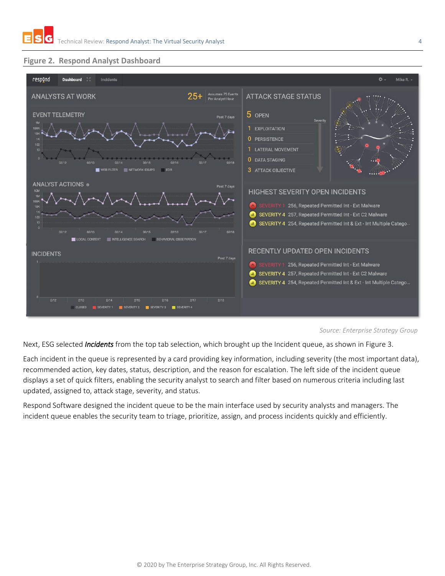

## <span id="page-3-0"></span>**Figure 2. Respond Analyst Dashboard**

#### *Source: Enterprise Strategy Group*

Next, ESG selected *Incidents* from the top tab selection, which brought up the Incident queue, as shown in [Figure 3.](#page-4-0)

Each incident in the queue is represented by a card providing key information, including severity (the most important data), recommended action, key dates, status, description, and the reason for escalation. The left side of the incident queue displays a set of quick filters, enabling the security analyst to search and filter based on numerous criteria including last updated, assigned to, attack stage, severity, and status.

Respond Software designed the incident queue to be the main interface used by security analysts and managers. The incident queue enables the security team to triage, prioritize, assign, and process incidents quickly and efficiently.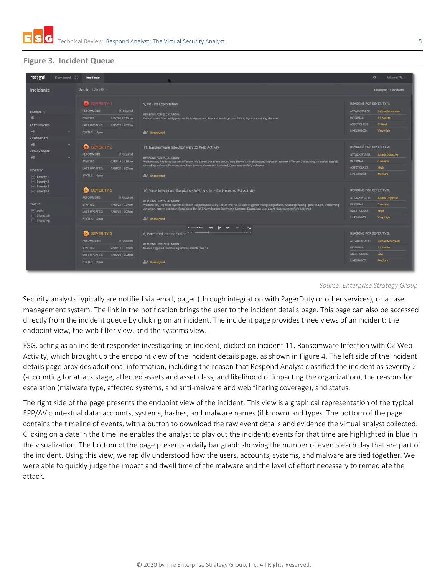## <span id="page-4-0"></span>**Figure 3. Incident Queue**

| respond                                              | Dashboard : | <b>Incidents</b>                         |                                                                                                                                                                                                                                                                                                                                                                                                                                      |                                  | $0 -$<br>Mitchell W. -        |
|------------------------------------------------------|-------------|------------------------------------------|--------------------------------------------------------------------------------------------------------------------------------------------------------------------------------------------------------------------------------------------------------------------------------------------------------------------------------------------------------------------------------------------------------------------------------------|----------------------------------|-------------------------------|
| Incidents                                            |             | Sort By   Severity +                     |                                                                                                                                                                                                                                                                                                                                                                                                                                      |                                  | Displaying 11 Incidents       |
|                                                      |             | SEVERITY 1                               | 9, Int - Int Exploitation                                                                                                                                                                                                                                                                                                                                                                                                            | <b>REASONS FOR SEVERITY 1:</b>   |                               |
| SEARCH O                                             |             | <b>RECOMMEND:</b><br><b>IR Required</b>  | <b>REASONS FOR ESCALATION:</b>                                                                                                                                                                                                                                                                                                                                                                                                       | ATTACK STAGE:                    | <b>Lateral Movement</b>       |
| $ID - -$                                             |             | <b>STARTED</b><br>1/7/20112:15pm         | Critical asset, Source triggered multiple signatures, Attack spreading - past 24hrs, Signature net High by user                                                                                                                                                                                                                                                                                                                      | <b>INTERNAL:</b>                 | <b>11 Assets</b>              |
| <b>LAST UPDATED</b>                                  |             | <b>LAST UPDATED:</b><br>1/15/20   5:02pm |                                                                                                                                                                                                                                                                                                                                                                                                                                      | <b>ASSET CLASS:</b>              | Critical                      |
| All                                                  | ٠           | STATUS: Open                             | $2 +$ Unassigned                                                                                                                                                                                                                                                                                                                                                                                                                     | LIKELIHOOD:                      | <b>Very High</b>              |
| <b>ASSIGNED TO</b>                                   |             |                                          |                                                                                                                                                                                                                                                                                                                                                                                                                                      |                                  |                               |
| All                                                  | ۰           | SEVERITY 2                               | 11, Ransomware Infection with C2 Web Activity                                                                                                                                                                                                                                                                                                                                                                                        | <b>REASONS FOR SEVERITY 2:</b>   |                               |
| <b>ATTACK STAGE</b>                                  |             | <b>RECOMMEND:</b><br><b>IR Required</b>  | <b>REASONS FOR ESCALATION:</b><br>Workstation, Repeated system offender, File Server, Database Server, Web Server, Critical account, Repeated account offender, Concerning AV action, Rapidly                                                                                                                                                                                                                                        | <b>ATTACK STAGE:</b>             | <b>Attack Objective</b>       |
| All                                                  |             | <b>STARTED</b><br>12/30/19   2:18pm      |                                                                                                                                                                                                                                                                                                                                                                                                                                      | <b>INTERNAL</b>                  | 8 Assets                      |
|                                                      |             | <b>LAST UPDATED:</b><br>1/15/2015:03pm   | spreading malware, Ransomware, New domain, Command & control, Code successfully delivered                                                                                                                                                                                                                                                                                                                                            | <b>ASSET CLASS:</b>              | High                          |
| <b>SEVERITY</b>                                      |             | STATUS: Open                             | $2 +$ Unassigned                                                                                                                                                                                                                                                                                                                                                                                                                     | LIKELIHDOD:                      | Medium                        |
| Severity 1<br>Severity 2<br>Severity 3<br>Severity 4 |             |                                          |                                                                                                                                                                                                                                                                                                                                                                                                                                      |                                  |                               |
|                                                      |             | <b>SEVERITY 3</b><br>Ø                   | 10, Virus Infections, Suspicious Web and Int - Ext Network IPS Activity<br><b>REASONS FOR ESCALATION:</b><br><b>INTERNAL:</b><br>Workstation, Repeated system offender, Suspicious Country, Threat intel hit, Source triggered multiple signatures, Attack spreading - past 15days, Concerning<br>AV action, Known bad hash, Suspicious file, RAT, New domain, Command & control, Suspicious user agent, Code successfully delivered | <b>REASONS FOR SEVERITY 3:</b>   |                               |
|                                                      |             | <b>RECOMMEND:</b><br><b>IR Required</b>  |                                                                                                                                                                                                                                                                                                                                                                                                                                      | <b>ATTACK STAGE:</b>             | Attack Objective              |
| <b>STATUS</b><br>o Dpen                              |             | <b>STARTED:</b><br>1/13/20   8:29pm      |                                                                                                                                                                                                                                                                                                                                                                                                                                      |                                  | <b>SAssets</b>                |
|                                                      |             | <b>LAST UPDATED:</b><br>1/15/2015 02pm   |                                                                                                                                                                                                                                                                                                                                                                                                                                      | ASSET CLASS:                     | <b>High</b>                   |
| Closed and                                           |             | STATUS: Open                             | <sup>84</sup> Unassigned                                                                                                                                                                                                                                                                                                                                                                                                             | LIKELIHOOD:                      | <b>Very High</b>              |
| Closed vg.                                           |             |                                          |                                                                                                                                                                                                                                                                                                                                                                                                                                      |                                  |                               |
|                                                      |             | <b>SEVERITY 3</b><br>Ы                   | 4-04 44 D D E O G<br>$-33:43$<br>6, Permitted Int - Int Exploit 1230                                                                                                                                                                                                                                                                                                                                                                 | <b>REASONS FOR SEVERITY 3:</b>   |                               |
|                                                      |             | RECOMMEND:                               |                                                                                                                                                                                                                                                                                                                                                                                                                                      |                                  |                               |
|                                                      |             | <b>IR Required</b>                       | <b>REASONS FOR ESCALATION:</b>                                                                                                                                                                                                                                                                                                                                                                                                       | ATTACK STAGE:<br><b>INTERNAL</b> | Lateral Movement<br>11 Assets |
|                                                      |             | <b>STARTED:</b><br>12/26/19 / 1:48am     | Source triggered multiple signatures, OWASP top 10                                                                                                                                                                                                                                                                                                                                                                                   | <b>ASSET CLASS</b>               | Low                           |
|                                                      |             | LAST UPDATED:<br>1/15/2015 02pm          |                                                                                                                                                                                                                                                                                                                                                                                                                                      | LIKELIHOOD:                      | Medium                        |
|                                                      |             | STATUS: Open                             | $2 +$ Unassigned                                                                                                                                                                                                                                                                                                                                                                                                                     |                                  |                               |
|                                                      |             |                                          |                                                                                                                                                                                                                                                                                                                                                                                                                                      |                                  |                               |

#### *Source: Enterprise Strategy Group*

Security analysts typically are notified via email, pager (through integration with PagerDuty or other services), or a case management system. The link in the notification brings the user to the incident details page. This page can also be accessed directly from the incident queue by clicking on an incident. The incident page provides three views of an incident: the endpoint view, the web filter view, and the systems view.

ESG, acting as an incident responder investigating an incident, clicked on incident 11, Ransomware Infection with C2 Web Activity,which brought up the endpoint view of the incident details page, as shown in [Figure 4.](#page-5-0) The left side of the incident details page provides additional information, including the reason that Respond Analyst classified the incident as severity 2 (accounting for attack stage, affected assets and asset class, and likelihood of impacting the organization), the reasons for escalation (malware type, affected systems, and anti-malware and web filtering coverage), and status.

The right side of the page presents the endpoint view of the incident. This view is a graphical representation of the typical EPP/AV contextual data: accounts, systems, hashes, and malware names (if known) and types. The bottom of the page contains the timeline of events, with a button to download the raw event details and evidence the virtual analyst collected. Clicking on a date in the timeline enables the analyst to play out the incident; events for that time are highlighted in blue in the visualization. The bottom of the page presents a daily bar graph showing the number of events each day that are part of the incident. Using this view, we rapidly understood how the users, accounts, systems, and malware are tied together. We were able to quickly judge the impact and dwell time of the malware and the level of effort necessary to remediate the attack.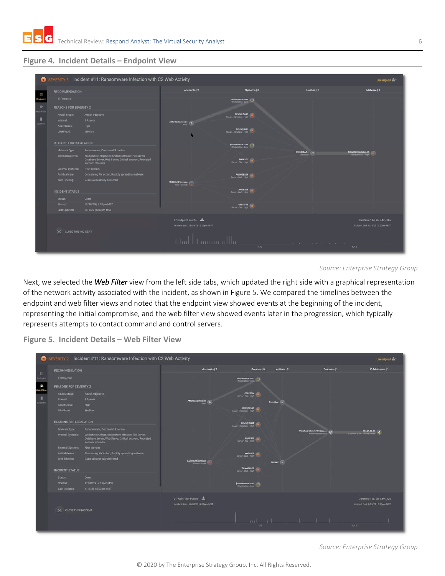

## <span id="page-5-0"></span>**Figure 4. Incident Details – Endpoint View**

|                      |                               | SEVERITY 2 Incident #11: Ransomware Infection with C2 Web Activity                                                                 |                                                                                        |                                                                                                                               |                                          | Unassigned $\mathbf{m}^+$                                         |
|----------------------|-------------------------------|------------------------------------------------------------------------------------------------------------------------------------|----------------------------------------------------------------------------------------|-------------------------------------------------------------------------------------------------------------------------------|------------------------------------------|-------------------------------------------------------------------|
|                      | <b>RECOMMENDATION</b>         |                                                                                                                                    | Accounts   2                                                                           | Systems   8                                                                                                                   | Hashes   1                               | Malware   1                                                       |
| Ħ<br>Indooint        | IR Reguired                   |                                                                                                                                    |                                                                                        | nicolao.acme.com                                                                                                              |                                          |                                                                   |
| $\Phi$<br>reb Filter | <b>REASONS FOR SEVERITY 2</b> |                                                                                                                                    |                                                                                        |                                                                                                                               |                                          |                                                                   |
|                      | Attack Stage:                 | <b>Attack Objective</b>                                                                                                            |                                                                                        | DENSQLDB92                                                                                                                    |                                          |                                                                   |
|                      | Internal:                     | 8 Assets                                                                                                                           | AMERICAS/vicolao                                                                       |                                                                                                                               |                                          |                                                                   |
|                      | <b>Asset Class:</b>           | High                                                                                                                               |                                                                                        |                                                                                                                               |                                          |                                                                   |
|                      | Likelihood:                   | Medium                                                                                                                             |                                                                                        | DENSQLD81                                                                                                                     |                                          |                                                                   |
|                      |                               |                                                                                                                                    |                                                                                        |                                                                                                                               |                                          |                                                                   |
|                      | <b>REASONS FOR ESCALATION</b> |                                                                                                                                    |                                                                                        | johnson.acme.com                                                                                                              |                                          |                                                                   |
|                      | Malware Type:                 | Ransomware, Command & control                                                                                                      |                                                                                        |                                                                                                                               | <b>BF334BBAA</b> (#                      | Trojan Cryptolocker AF                                            |
|                      | Internal Systems:             | Workstation, Repeated system offender, File Server,<br>Database Server, Web Server, Critical account, Repeated<br>account offender |                                                                                        | <b>PHOTSOT</b><br>Server - File - High                                                                                        |                                          |                                                                   |
|                      | External Systems:             | New domain                                                                                                                         |                                                                                        |                                                                                                                               |                                          |                                                                   |
|                      | Anti-Malware:                 | Concerning AV action, Rapidly spreading malware                                                                                    |                                                                                        | PHOWEBSER<br>Sarver - Web - High                                                                                              |                                          |                                                                   |
|                      | Web Filtering:                | Code successfully delivered                                                                                                        |                                                                                        |                                                                                                                               |                                          |                                                                   |
|                      |                               |                                                                                                                                    | <b>AMERICAS Volvinson</b>                                                              |                                                                                                                               |                                          |                                                                   |
|                      | <b>INCIDENT STATUS</b>        |                                                                                                                                    |                                                                                        | $\begin{tabular}{c} \multicolumn{2}{c}{\textbf{LVMEBSER}}\\ \hline \multicolumn{2}{c}{\textbf{Server-Wub-Hom}} \end{tabular}$ |                                          |                                                                   |
|                      | Status:                       | Open                                                                                                                               |                                                                                        |                                                                                                                               |                                          |                                                                   |
|                      | Started:                      | 12/30/19   2:18pm MST                                                                                                              |                                                                                        | <b>ORLFSFIN</b>                                                                                                               |                                          |                                                                   |
|                      | Last Updated:                 | 1/15/20   5:03pm MST                                                                                                               |                                                                                        |                                                                                                                               |                                          |                                                                   |
|                      | X CLOSE THIS INCIDENT         |                                                                                                                                    | 87 Endpoint Events<br>Incident Start: 12/30/19   2:18pm MST<br>بباللية بتسبيب اللبيتان | 1/6                                                                                                                           | the property of the property of the con- | Duration: 16d, 2h, 44m, 32s<br>Incident End: 1/15/20   5:03pm MST |
|                      |                               |                                                                                                                                    |                                                                                        |                                                                                                                               |                                          | 1/13                                                              |

*Source: Enterprise Strategy Group*

Next, we selected the *Web Filter* view from the left side tabs, which updated the right side with a graphical representation of the network activity associated with the incident, as shown in [Figure 5.](#page-5-1) We compared the timelines between the endpoint and web filter views and noted that the endpoint view showed events at the beginning of the incident, representing the initial compromise, and the web filter view showed events later in the progression, which typically represents attempts to contact command and control servers.

<span id="page-5-1"></span>**Figure 5. Incident Details – Web Filter View**



*Source: Enterprise Strategy Group*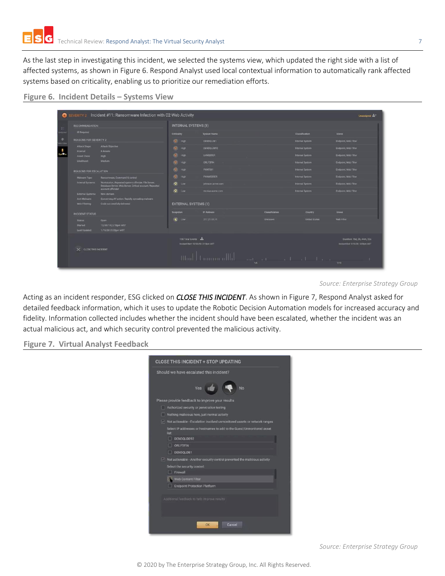As the last step in investigating this incident, we selected the systems view, which updated the right side with a list of affected systems, as shown i[n Figure 6.](#page-6-0) Respond Analyst used local contextual information to automatically rank affected systems based on criticality, enabling us to prioritize our remediation efforts.

#### <span id="page-6-0"></span>**Figure 6. Incident Details – Systems View**

| <b>RECOMMENDATION</b>         |                                                                                                                |                                                                                                                         | <b>INTERNAL SYSTEMS (8)</b>                               |                 |                        |                                                                   |  |
|-------------------------------|----------------------------------------------------------------------------------------------------------------|-------------------------------------------------------------------------------------------------------------------------|-----------------------------------------------------------|-----------------|------------------------|-------------------------------------------------------------------|--|
| <b>IR Required</b>            |                                                                                                                | Criticality                                                                                                             | <b>System Name</b>                                        |                 | <b>Classification</b>  | <b>Views</b>                                                      |  |
| <b>REASONS FOR SEVERITY 2</b> |                                                                                                                | (C) High                                                                                                                | <b>DENSOLDB1</b>                                          |                 | Internal System        | Endpoint, Web Filter                                              |  |
| Attack Stage:                 | Attack Objective                                                                                               | (C) High                                                                                                                | DENSQLDB92                                                |                 | Internal System        | Endpoint, Web Filter                                              |  |
| Internal:<br>Asset Class:     | 8 Assets<br>High                                                                                               | C High                                                                                                                  | <b>LVWEBSER</b>                                           |                 | Internal System        | Endpoint, Web Filter                                              |  |
| Likelihood:                   | Medium                                                                                                         | ത<br>High                                                                                                               | <b>ORLFSFIN</b>                                           |                 | Internal System        | Endpoint, Web Filter                                              |  |
| <b>REASONS FOR ESCALATION</b> |                                                                                                                | (C) High                                                                                                                | PHXFS01                                                   |                 | <b>Internal System</b> | Endpoint, Web Filter                                              |  |
| Malware Type:                 | Ransomware, Command & control                                                                                  | (Q) High                                                                                                                | PHXWEBSER                                                 |                 | Internal System        | Endpoint, Web Filter                                              |  |
| Internal Systems:             | Workstation, Repeated system offender, File Server,<br>Database Server, Web Server, Critical account, Repeated | $\bullet$<br>Low                                                                                                        | johnson acme.com                                          |                 | Internal System        | Endpoint, Web Filter                                              |  |
| External Systems:             | account offender<br>New domain                                                                                 | Q Low                                                                                                                   | nicolao acme.com                                          |                 | Internal System        | Endpoint, Web Filter                                              |  |
| Anti-Malware                  | Concerning AV action, Rapidly spreading malware                                                                |                                                                                                                         |                                                           |                 |                        |                                                                   |  |
| Web Filtering:                | Code successfully delivered                                                                                    | <b>EXTERNAL SYSTEMS (1)</b>                                                                                             |                                                           |                 |                        |                                                                   |  |
| <b>INCIDENT STATUS</b>        |                                                                                                                | <b>Suspicion</b>                                                                                                        | <b>IP Address</b>                                         | Classification  | Country                | Views                                                             |  |
| Status:                       | Open                                                                                                           | <b>2</b> Low                                                                                                            | 217 21 13 11                                              | <b>Unichown</b> | <b>United States</b>   | Web Filter                                                        |  |
| Started:<br>Last Updated:     | 12/30/19   2:18pm MST<br>$-1/15/20$   5:03pm MST                                                               |                                                                                                                         |                                                           |                 |                        |                                                                   |  |
|                               | X CLOSE THIS INCIDENT                                                                                          |                                                                                                                         | 108 Total Events<br>Incident Start: 12/30/19 (2:18pm MST) |                 |                        | Duration: 16d, 2h, 44m, 32s<br>Incident End: 1/15/20   5:03pm MST |  |
|                               |                                                                                                                | $\mathop{\hbox{\rm lim}}\nolimits\ u\ _{L^1(\mathop{\hbox{\rm min}}\nolimits)}$<br>and the contract of the distribution |                                                           |                 |                        |                                                                   |  |

Acting as an incident responder, ESG clicked on *CLOSE THIS INCIDENT*. As shown in [Figure 7,](#page-6-1) Respond Analyst asked for detailed feedback information, which it uses to update the Robotic Decision Automation models for increased accuracy and fidelity. Information collected includes whether the incident should have been escalated, whether the incident was an actual malicious act, and which security control prevented the malicious activity.

<span id="page-6-1"></span>**Figure 7. Virtual Analyst Feedback**

| <b>CLOSE THIS INCIDENT + STOP UPDATING</b>                                                     |
|------------------------------------------------------------------------------------------------|
| Should we have escalated this incident?                                                        |
| Yes<br>No                                                                                      |
| Please provide feedback to improve your results                                                |
| Authorized security or penetration testing<br>п                                                |
| ⊓<br>Nothing malicious here, just normal activity                                              |
| $\sqrt{\phantom{a}}$ Not actionable - Escalation involved unmonitored assets or network ranges |
| Select IP addresses or hostnames to add to the Guest/Unmonitored asset<br>list:                |
| □<br>DENSOLDB92                                                                                |
| п<br><b>ORLESEIN</b>                                                                           |
| DENSOLDB1                                                                                      |
| $\vee$ Not actionable - Another security control prevented the malicious activity              |
| Select the security control:                                                                   |
| Firewall                                                                                       |
| <b>Web Content Filter</b>                                                                      |
| Endpoint Protection Platform                                                                   |
|                                                                                                |
| Additional feedback to help improve results                                                    |
|                                                                                                |
|                                                                                                |
| Cancel<br>OK                                                                                   |

*Source: Enterprise Strategy Group*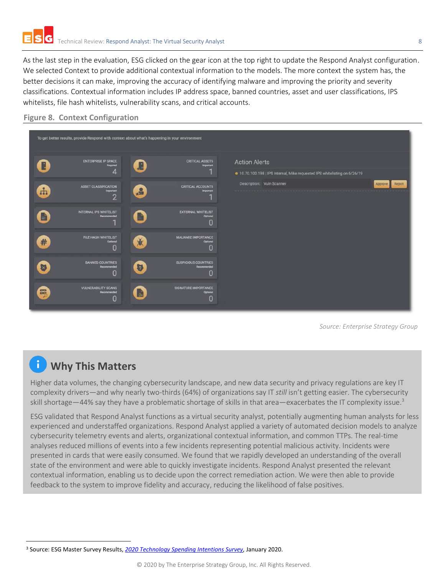As the last step in the evaluation, ESG clicked on the gear icon at the top right to update the Respond Analyst configuration. We selected Context to provide additional contextual information to the models. The more context the system has, the better decisions it can make, improving the accuracy of identifying malware and improving the priority and severity classifications. Contextual information includes IP address space, banned countries, asset and user classifications, IPS whitelists, file hash whitelists, vulnerability scans, and critical accounts.

## **Figure 8. Context Configuration**



*Source: Enterprise Strategy Group*

## **Why This Matters**

Higher data volumes, the changing cybersecurity landscape, and new data security and privacy regulations are key IT complexity drivers—and why nearly two-thirds (64%) of organizations say IT *still* isn't getting easier. The cybersecurity skill shortage—44% say they have a problematic shortage of skills in that area—exacerbates the IT complexity issue.<sup>3</sup>

ESG validated that Respond Analyst functions as a virtual security analyst, potentially augmenting human analysts for less experienced and understaffed organizations. Respond Analyst applied a variety of automated decision models to analyze cybersecurity telemetry events and alerts, organizational contextual information, and common TTPs. The real-time analyses reduced millions of events into a few incidents representing potential malicious activity. Incidents were presented in cards that were easily consumed. We found that we rapidly developed an understanding of the overall state of the environment and were able to quickly investigate incidents. Respond Analyst presented the relevant contextual information, enabling us to decide upon the correct remediation action. We were then able to provide feedback to the system to improve fidelity and accuracy, reducing the likelihood of false positives.

<sup>3</sup> Source: ESG Master Survey Results, *[2020 Technology Spending Intentions](https://research.esg-global.com/reportaction/TechnologySpendingIntentionsMSR-Jan2020/Toc) Survey,* January 2020.